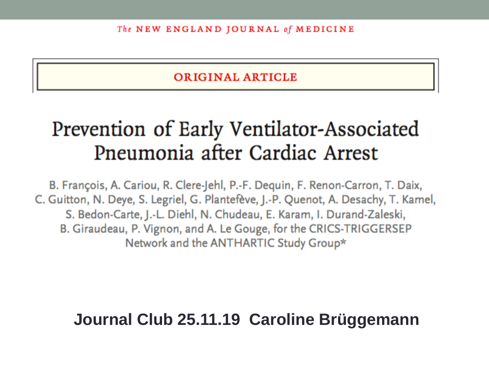**ORIGINAL ARTICLE** 

#### Prevention of Early Ventilator-Associated Pneumonia after Cardiac Arrest

B. François, A. Cariou, R. Clere-Jehl, P.-F. Dequin, F. Renon-Carron, T. Daix, C. Guitton, N. Deye, S. Legriel, G. Plantefève, J.-P. Quenot, A. Desachy, T. Kamel, S. Bedon-Carte, J.-L. Diehl, N. Chudeau, E. Karam, I. Durand-Zaleski, B. Giraudeau, P. Vignon, and A. Le Gouge, for the CRICS-TRIGGERSEP Network and the ANTHARTIC Study Group\*

#### **Journal Club 25.11.19 Caroline Brüggemann**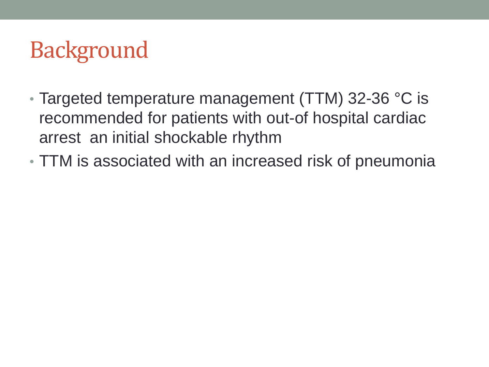## **Background**

- Targeted temperature management (TTM) 32-36 °C is recommended for patients with out-of hospital cardiac arrest an initial shockable rhythm
- TTM is associated with an increased risk of pneumonia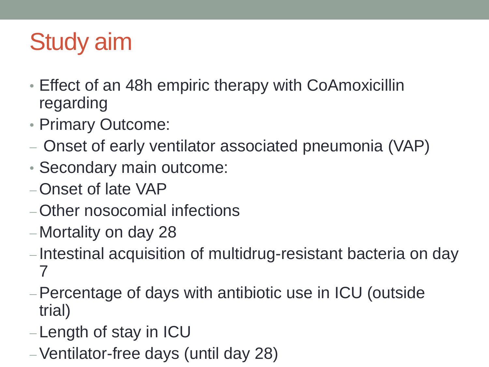## Study aim

- Effect of an 48h empiric therapy with CoAmoxicillin regarding
- Primary Outcome:
- Onset of early ventilator associated pneumonia (VAP)
- Secondary main outcome:
- Onset of late VAP
- Other nosocomial infections
- Mortality on day 28
- -Intestinal acquisition of multidrug-resistant bacteria on day 7
- Percentage of days with antibiotic use in ICU (outside trial)
- Length of stay in ICU
- Ventilator-free days (until day 28)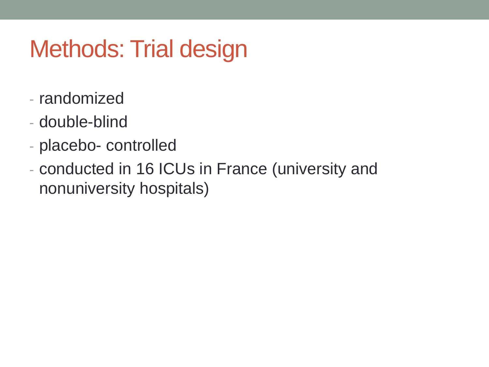## Methods: Trial design

- randomized
- double-blind
- placebo- controlled
- conducted in 16 ICUs in France (university and nonuniversity hospitals)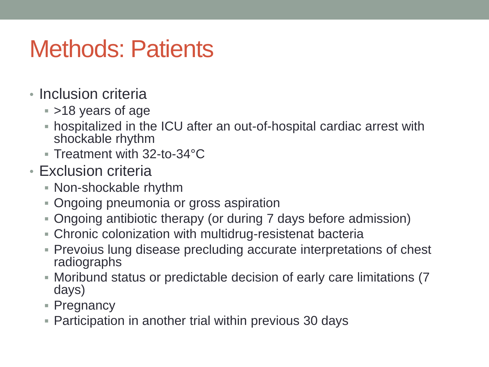## Methods: Patients

- Inclusion criteria
	- >18 years of age
	- hospitalized in the ICU after an out-of-hospital cardiac arrest with shockable rhythm
	- Treatment with 32-to-34°C
- Exclusion criteria
	- Non-shockable rhythm
	- Ongoing pneumonia or gross aspiration
	- Ongoing antibiotic therapy (or during 7 days before admission)
	- Chronic colonization with multidrug-resistenat bacteria
	- Prevoius lung disease precluding accurate interpretations of chest radiographs
	- Moribund status or predictable decision of early care limitations (7 days)
	- Pregnancy
	- Participation in another trial within previous 30 days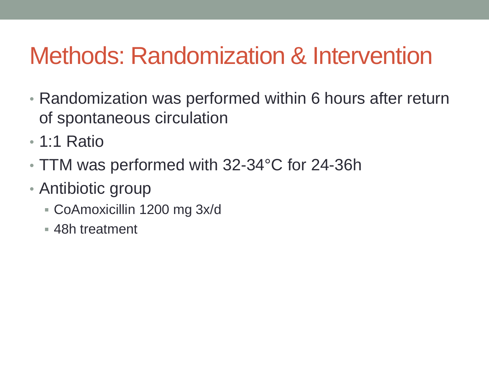## Methods: Randomization & Intervention

- Randomization was performed within 6 hours after return of spontaneous circulation
- 1:1 Ratio
- TTM was performed with 32-34°C for 24-36h
- Antibiotic group
	- CoAmoxicillin 1200 mg 3x/d
	- 48h treatment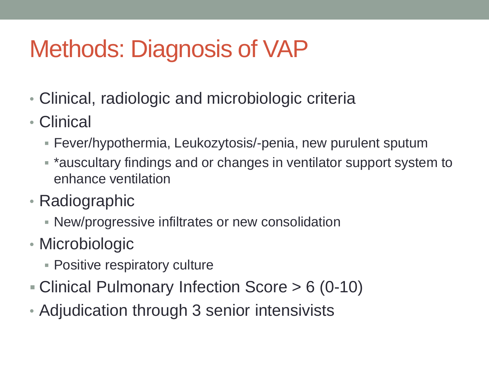## Methods: Diagnosis of VAP

- Clinical, radiologic and microbiologic criteria
- Clinical
	- Fever/hypothermia, Leukozytosis/-penia, new purulent sputum
	- \*auscultary findings and or changes in ventilator support system to enhance ventilation
- Radiographic
	- New/progressive infiltrates or new consolidation
- Microbiologic
	- **Positive respiratory culture**
- Clinical Pulmonary Infection Score > 6 (0-10)
- Adjudication through 3 senior intensivists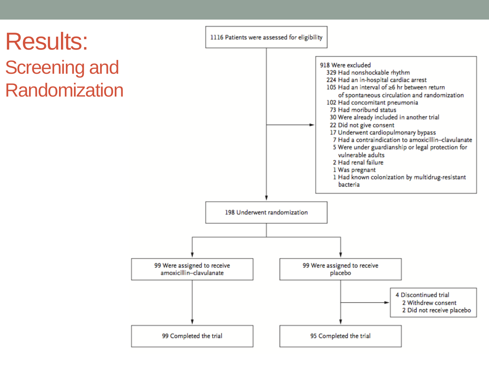### Results: Screening and **Randomization**

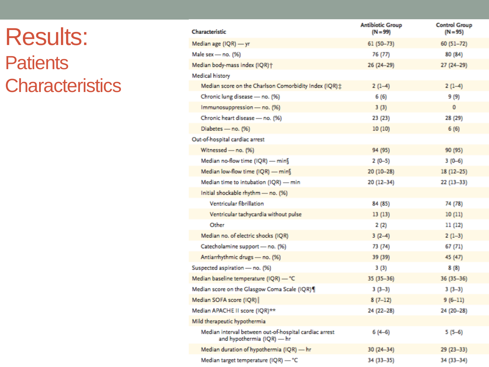### Results: **Patients Characteristics**

| Characteristic                                                                       | <b>Antibiotic Group</b><br>$(N = 99)$ | <b>Control Group</b><br>$(N = 95)$ |
|--------------------------------------------------------------------------------------|---------------------------------------|------------------------------------|
| Median age (IQR) - yr                                                                | $61(50 - 73)$                         | $60(51-72)$                        |
| Male sex - no. (%)                                                                   | 76 (77)                               | 80 (84)                            |
| Median body-mass index (IQR)+                                                        | 26 (24-29)                            | 27 (24-29)                         |
| Medical history                                                                      |                                       |                                    |
| Median score on the Charlson Comorbidity Index (IQR) ;                               | $2(1-4)$                              | 2 (1–4)                            |
| Chronic lung disease - no. (%)                                                       | 6(6)                                  | 9 (9)                              |
| Immunosuppression - no. (%)                                                          | 3(3)                                  | $\mathbf{0}$                       |
| Chronic heart disease - no. (%)                                                      | 23 (23)                               | 28 (29)                            |
| Diabetes - no. (%)                                                                   | 10(10)                                | 6(6)                               |
| Out-of-hospital cardiac arrest                                                       |                                       |                                    |
| Witnessed - no. (%)                                                                  | 94 (95)                               | 90 (95)                            |
| Median no-flow time (IQR) - mins                                                     | $2(0-5)$                              | $3(0-6)$                           |
| Median low-flow time (IQR) - min                                                     | 20 (10-28)                            | $18(12-25)$                        |
| Median time to intubation (IQR) - min                                                | 20 (12-34)                            | $22(13-33)$                        |
| Initial shockable rhythm - no. (%)                                                   |                                       |                                    |
| Ventricular fibrillation                                                             | 84 (85)                               | 74 (78)                            |
| Ventricular tachycardia without pulse                                                | 13(13)                                | 10(11)                             |
| Other                                                                                | 2(2)                                  | 11 (12)                            |
| Median no. of electric shocks (IQR)                                                  | $3(2-4)$                              | $2(1-3)$                           |
| Catecholamine support - no. (%)                                                      | 73 (74)                               | 67 (71)                            |
| Antiarrhythmic drugs - no. (%)                                                       | 39 (39)                               | 45 (47)                            |
| Suspected aspiration - no. (%)                                                       | 3 (3)                                 | 8 (8)                              |
| Median baseline temperature (IQR) - °C                                               | $35(35-36)$                           | $36(35-36)$                        |
| Median score on the Glasgow Coma Scale (IQR)                                         | $3(3-3)$                              | $3(3-3)$                           |
| Median SOFA score (IQR)                                                              | $8(7-12)$                             | $9(6-11)$                          |
| Median APACHE II score (IQR)**                                                       | 24 (22-28)                            | 24 (20-28)                         |
| Mild therapeutic hypothermia                                                         |                                       |                                    |
| Median interval between out-of-hospital cardiac arrest<br>and hypothermia (IQR) — hr | $6(4-6)$                              | $5(5-6)$                           |
| Median duration of hypothermia (IQR) - hr                                            | $30(24 - 34)$                         | 29 (23 - 33)                       |
| Median target temperature (IQR) - "C                                                 | 34 (33-35)                            | 34 (33-34)                         |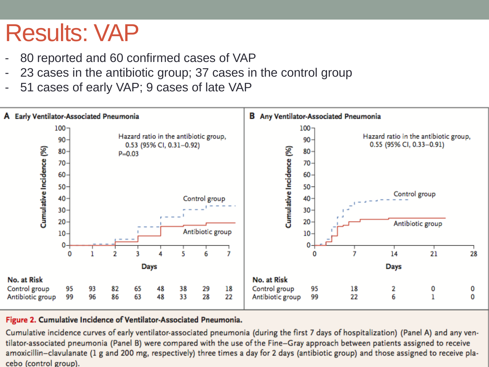## Results: VAP

- 80 reported and 60 confirmed cases of VAP
- 23 cases in the antibiotic group; 37 cases in the control group
- 51 cases of early VAP; 9 cases of late VAP



#### Figure 2. Cumulative Incidence of Ventilator-Associated Pneumonia.

Cumulative incidence curves of early ventilator-associated pneumonia (during the first 7 days of hospitalization) (Panel A) and any ventilator-associated pneumonia (Panel B) were compared with the use of the Fine-Gray approach between patients assigned to receive amoxicillin-clavulanate (1 g and 200 mg, respectively) three times a day for 2 days (antibiotic group) and those assigned to receive placebo (control group).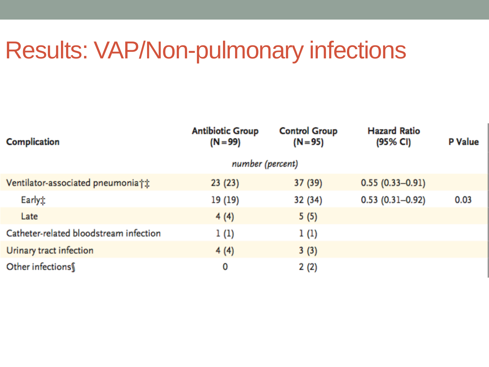## Results: VAP/Non-pulmonary infections

| Complication                           | <b>Antibiotic Group</b><br>$(N = 99)$ | <b>Control Group</b><br>$(N = 95)$ | <b>Hazard Ratio</b><br>(95% CI) | <b>P</b> Value |  |
|----------------------------------------|---------------------------------------|------------------------------------|---------------------------------|----------------|--|
|                                        | number (percent)                      |                                    |                                 |                |  |
| Ventilator-associated pneumonia†*      | 23(23)                                | 37 (39)                            | $0.55(0.33 - 0.91)$             |                |  |
| Earlyt                                 | 19 (19)                               | 32 (34)                            | $0.53(0.31 - 0.92)$             | 0.03           |  |
| Late                                   | 4(4)                                  | 5(5)                               |                                 |                |  |
| Catheter-related bloodstream infection | 1(1)                                  | 1 (1)                              |                                 |                |  |
| Urinary tract infection                | 4(4)                                  | 3(3)                               |                                 |                |  |
| Other infections                       | 0                                     | 2(2)                               |                                 |                |  |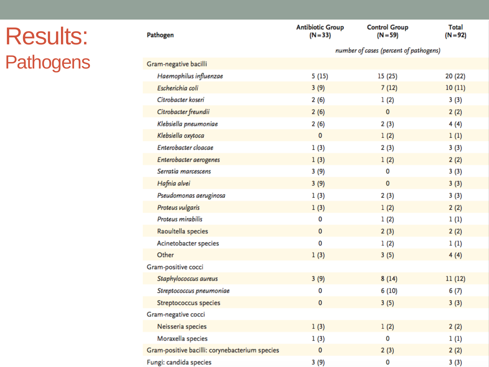## Results: **Pathogens**

| Pathogen                                       | <b>Antibiotic Group</b><br>$(N=33)$    | <b>Control Group</b><br>$(N = 59)$ | <b>Total</b><br>$(N = 92)$ |  |
|------------------------------------------------|----------------------------------------|------------------------------------|----------------------------|--|
|                                                | number of cases (percent of pathogens) |                                    |                            |  |
| Gram-negative bacilli                          |                                        |                                    |                            |  |
| Haemophilus influenzae                         | 5(15)                                  | 15 (25)                            | 20 (22)                    |  |
| Escherichia coli                               | 3(9)                                   | 7(12)                              | 10(11)                     |  |
| Citrobacter koseri                             | 2(6)                                   | 1(2)                               | 3(3)                       |  |
| Citrobacter freundii                           | 2(6)                                   | $\mathbf 0$                        | 2(2)                       |  |
| Klebsiella pneumoniae                          | 2(6)                                   | 2(3)                               | 4(4)                       |  |
| Klebsiella oxytoca                             | 0                                      | 1(2)                               | 1(1)                       |  |
| Enterobacter cloacae                           | 1(3)                                   | 2(3)                               | 3(3)                       |  |
| Enterobacter aerogenes                         | 1(3)                                   | 1(2)                               | 2(2)                       |  |
| Serratia marcescens                            | 3(9)                                   | 0                                  | 3(3)                       |  |
| Hafnia alvei                                   | 3(9)                                   | $\mathbf 0$                        | 3(3)                       |  |
| Pseudomonas aeruginosa                         | 1(3)                                   | 2(3)                               | 3(3)                       |  |
| Proteus vulgaris                               | 1(3)                                   | 1(2)                               | 2(2)                       |  |
| Proteus mirabilis                              | 0                                      | 1(2)                               | 1(1)                       |  |
| Raoultella species                             | 0                                      | 2(3)                               | 2(2)                       |  |
| Acinetobacter species                          | 0                                      | 1(2)                               | 1(1)                       |  |
| Other                                          | 1(3)                                   | 3(5)                               | 4(4)                       |  |
| Gram-positive cocci                            |                                        |                                    |                            |  |
| Staphylococcus aureus                          | 3(9)                                   | 8(14)                              | 11(12)                     |  |
| Streptococcus pneumoniae                       | 0                                      | 6(10)                              | 6(7)                       |  |
| <b>Streptococcus species</b>                   | 0                                      | 3(5)                               | 3(3)                       |  |
| Gram-negative cocci                            |                                        |                                    |                            |  |
| Neisseria species                              | 1(3)                                   | 1(2)                               | 2(2)                       |  |
| Moraxella species                              | 1(3)                                   | 0                                  | 1(1)                       |  |
| Gram-positive bacilli: corynebacterium species | $\mathbf 0$                            | 2(3)                               | 2(2)                       |  |
| Fungi: candida species                         | 3(9)                                   | 0                                  | 3(3)                       |  |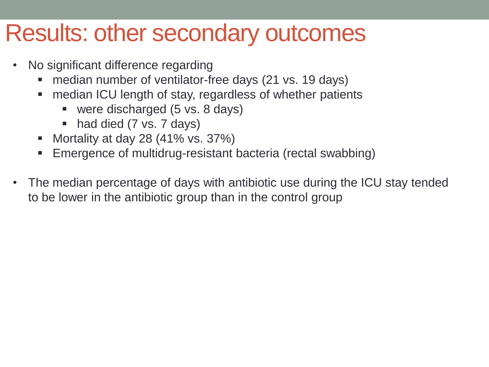### Results: other secondary outcomes

- No significant difference regarding
	- **n** median number of ventilator-free days (21 vs. 19 days)
	- median ICU length of stay, regardless of whether patients
		- were discharged (5 vs. 8 days)
		- had died (7 vs. 7 days)
	- Mortality at day 28  $(41\% \text{ vs. } 37\%)$
	- Emergence of multidrug-resistant bacteria (rectal swabbing)
- The median percentage of days with antibiotic use during the ICU stay tended to be lower in the antibiotic group than in the control group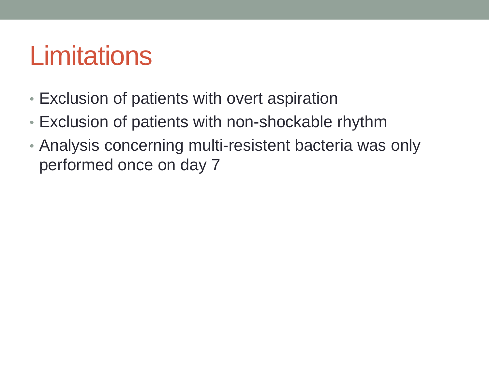# **Limitations**

- Exclusion of patients with overt aspiration
- Exclusion of patients with non-shockable rhythm
- Analysis concerning multi-resistent bacteria was only performed once on day 7